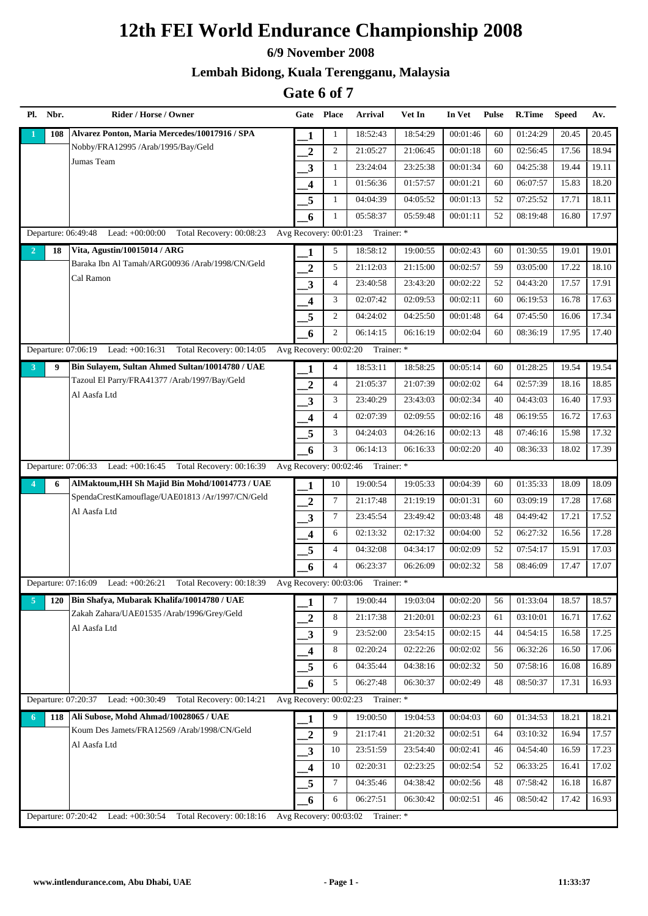#### **6/9 November 2008**

### **Lembah Bidong, Kuala Terengganu, Malaysia**

| Pl.            | Nbr.       | Rider / Horse / Owner                                                |                         | Gate Place             | <b>Arrival</b>                    | Vet In   | In Vet   | <b>Pulse</b> | R.Time   | <b>Speed</b> | Av.   |
|----------------|------------|----------------------------------------------------------------------|-------------------------|------------------------|-----------------------------------|----------|----------|--------------|----------|--------------|-------|
|                | 108        | Alvarez Ponton, Maria Mercedes/10017916 / SPA                        | 1                       | 1                      | 18:52:43                          | 18:54:29 | 00:01:46 | 60           | 01:24:29 | 20.45        | 20.45 |
|                |            | Nobby/FRA12995 /Arab/1995/Bay/Geld                                   | $\boldsymbol{2}$        | 2                      | 21:05:27                          | 21:06:45 | 00:01:18 | 60           | 02:56:45 | 17.56        | 18.94 |
|                |            | Jumas Team                                                           | 3                       | $\mathbf{1}$           | 23:24:04                          | 23:25:38 | 00:01:34 | 60           | 04:25:38 | 19.44        | 19.11 |
|                |            |                                                                      | $\overline{\mathbf{4}}$ | 1                      | 01:56:36                          | 01:57:57 | 00:01:21 | 60           | 06:07:57 | 15.83        | 18.20 |
|                |            |                                                                      | 5                       | $\mathbf{1}$           | 04:04:39                          | 04:05:52 | 00:01:13 | 52           | 07:25:52 | 17.71        | 18.11 |
|                |            |                                                                      | 6                       | $\mathbf{1}$           | 05:58:37                          | 05:59:48 | 00:01:11 | 52           | 08:19:48 | 16.80        | 17.97 |
|                |            | Departure: 06:49:48<br>Lead: +00:00:00 Total Recovery: 00:08:23      |                         |                        | Avg Recovery: 00:01:23 Trainer: * |          |          |              |          |              |       |
| $\overline{2}$ | 18         | Vita, Agustin/10015014 / ARG                                         | 1                       | 5                      | 18:58:12                          | 19:00:55 | 00:02:43 | 60           | 01:30:55 | 19.01        | 19.01 |
|                |            | Baraka Ibn Al Tamah/ARG00936 /Arab/1998/CN/Geld                      | $\overline{2}$          | 5                      | 21:12:03                          | 21:15:00 | 00:02:57 | 59           | 03:05:00 | 17.22        | 18.10 |
|                |            | Cal Ramon                                                            | 3                       | $\overline{4}$         | 23:40:58                          | 23:43:20 | 00:02:22 | 52           | 04:43:20 | 17.57        | 17.91 |
|                |            |                                                                      | 4                       | 3                      | 02:07:42                          | 02:09:53 | 00:02:11 | 60           | 06:19:53 | 16.78        | 17.63 |
|                |            |                                                                      | 5                       | $\overline{2}$         | 04:24:02                          | 04:25:50 | 00:01:48 | 64           | 07:45:50 | 16.06        | 17.34 |
|                |            |                                                                      | 6                       | 2                      | 06:14:15                          | 06:16:19 | 00:02:04 | 60           | 08:36:19 | 17.95        | 17.40 |
|                |            | Departure: 07:06:19 Lead: +00:16:31<br>Total Recovery: 00:14:05      |                         | Avg Recovery: 00:02:20 | Trainer: *                        |          |          |              |          |              |       |
| 3              | 9          | Bin Sulayem, Sultan Ahmed Sultan/10014780 / UAE                      | 1                       | $\overline{4}$         | 18:53:11                          | 18:58:25 | 00:05:14 | 60           | 01:28:25 | 19.54        | 19.54 |
|                |            | Tazoul El Parry/FRA41377 /Arab/1997/Bay/Geld                         | $\overline{2}$          | $\overline{4}$         | 21:05:37                          | 21:07:39 | 00:02:02 | 64           | 02:57:39 | 18.16        | 18.85 |
|                |            | Al Aasfa Ltd                                                         | 3                       | 3                      | 23:40:29                          | 23:43:03 | 00:02:34 | 40           | 04:43:03 | 16.40        | 17.93 |
|                |            |                                                                      | 4                       | $\overline{4}$         | 02:07:39                          | 02:09:55 | 00:02:16 | 48           | 06:19:55 | 16.72        | 17.63 |
|                |            |                                                                      | 5                       | 3                      | 04:24:03                          | 04:26:16 | 00:02:13 | 48           | 07:46:16 | 15.98        | 17.32 |
|                |            |                                                                      | 6                       | 3                      | 06:14:13                          | 06:16:33 | 00:02:20 | 40           | 08:36:33 | 18.02        | 17.39 |
|                |            | Departure: 07:06:33 Lead: +00:16:45<br>Total Recovery: 00:16:39      |                         | Avg Recovery: 00:02:46 | Trainer: *                        |          |          |              |          |              |       |
| 4              | 6          | AlMaktoum, HH Sh Majid Bin Mohd/10014773 / UAE                       | 1                       | 10                     | 19:00:54                          | 19:05:33 | 00:04:39 | 60           | 01:35:33 | 18.09        | 18.09 |
|                |            | SpendaCrestKamouflage/UAE01813 /Ar/1997/CN/Geld                      | $\overline{2}$          | $\tau$                 | 21:17:48                          | 21:19:19 | 00:01:31 | 60           | 03:09:19 | 17.28        | 17.68 |
|                |            | Al Aasfa Ltd                                                         | 3                       | $\tau$                 | 23:45:54                          | 23:49:42 | 00:03:48 | 48           | 04:49:42 | 17.21        | 17.52 |
|                |            |                                                                      | 4                       | 6                      | 02:13:32                          | 02:17:32 | 00:04:00 | 52           | 06:27:32 | 16.56        | 17.28 |
|                |            |                                                                      | 5                       | $\overline{4}$         | 04:32:08                          | 04:34:17 | 00:02:09 | 52           | 07:54:17 | 15.91        | 17.03 |
|                |            |                                                                      | 6                       | $\overline{4}$         | 06:23:37                          | 06:26:09 | 00:02:32 | 58           | 08:46:09 | 17.47        | 17.07 |
|                |            | Departure: 07:16:09 Lead: +00:26:21<br>Total Recovery: 00:18:39      |                         |                        | Avg Recovery: 00:03:06 Trainer: * |          |          |              |          |              |       |
| $\overline{5}$ | <b>120</b> | Bin Shafya, Mubarak Khalifa/10014780 / UAE                           | 1                       | 7                      | 19:00:44                          | 19:03:04 | 00:02:20 | 56           | 01:33:04 | 18.57        | 18.57 |
|                |            | Zakah Zahara/UAE01535 /Arab/1996/Grey/Geld                           | $\boldsymbol{2}$        | 8                      | 21:17:38                          | 21:20:01 | 00:02:23 | 61           | 03:10:01 | 16.71        | 17.62 |
|                |            | Al Aasfa Ltd                                                         | 3                       | 9                      | 23:52:00                          | 23:54:15 | 00:02:15 | 44           | 04:54:15 | 16.58        | 17.25 |
|                |            |                                                                      | 4                       | 8                      | 02:20:24                          | 02:22:26 | 00:02:02 | 56           | 06:32:26 | 16.50        | 17.06 |
|                |            |                                                                      | 5                       | 6                      | 04:35:44                          | 04:38:16 | 00:02:32 | 50           | 07:58:16 | 16.08        | 16.89 |
|                |            |                                                                      | 6                       | 5                      | 06:27:48                          | 06:30:37 | 00:02:49 | 48           | 08:50:37 | 17.31        | 16.93 |
|                |            | Departure: 07:20:37<br>Lead: $+00:30:49$<br>Total Recovery: 00:14:21 |                         |                        | Avg Recovery: 00:02:23 Trainer: * |          |          |              |          |              |       |
| 6              | 118        | Ali Subose, Mohd Ahmad/10028065 / UAE                                | 1                       | 9                      | 19:00:50                          | 19:04:53 | 00:04:03 | 60           | 01:34:53 | 18.21        | 18.21 |
|                |            | Koum Des Jamets/FRA12569 /Arab/1998/CN/Geld                          | $\boldsymbol{2}$        | 9                      | 21:17:41                          | 21:20:32 | 00:02:51 | 64           | 03:10:32 | 16.94        | 17.57 |
|                |            | Al Aasfa Ltd                                                         | $\mathbf{3}$            | 10                     | 23:51:59                          | 23:54:40 | 00:02:41 | 46           | 04:54:40 | 16.59        | 17.23 |
|                |            |                                                                      | 4                       | 10                     | 02:20:31                          | 02:23:25 | 00:02:54 | 52           | 06:33:25 | 16.41        | 17.02 |
|                |            |                                                                      | 5                       | 7                      | 04:35:46                          | 04:38:42 | 00:02:56 | 48           | 07:58:42 | 16.18        | 16.87 |
|                |            |                                                                      | 6                       | 6                      | 06:27:51                          | 06:30:42 | 00:02:51 | 46           | 08:50:42 | 17.42        | 16.93 |
|                |            | Departure: 07:20:42<br>Total Recovery: 00:18:16<br>Lead: +00:30:54   |                         | Avg Recovery: 00:03:02 | Trainer: *                        |          |          |              |          |              |       |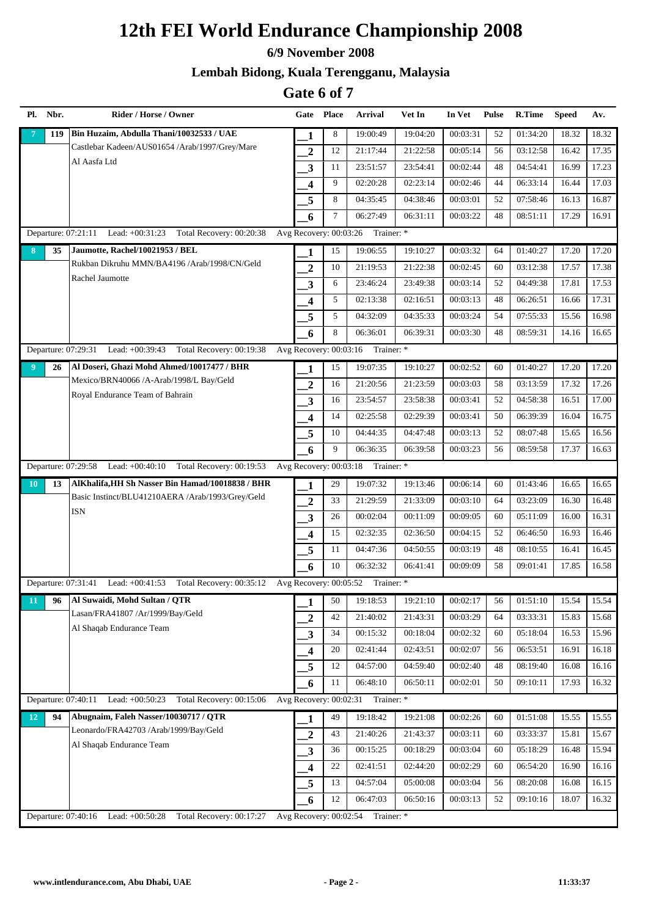#### **6/9 November 2008**

### **Lembah Bidong, Kuala Terengganu, Malaysia**

| Pl.            | Nbr. | Rider / Horse / Owner                                                                             |                          | Gate Place | <b>Arrival</b>                    | Vet In   | In Vet   | <b>Pulse</b> | R.Time   | <b>Speed</b> | Av.   |
|----------------|------|---------------------------------------------------------------------------------------------------|--------------------------|------------|-----------------------------------|----------|----------|--------------|----------|--------------|-------|
|                | 119  | Bin Huzaim, Abdulla Thani/10032533 / UAE                                                          | 1                        | 8          | 19:00:49                          | 19:04:20 | 00:03:31 | 52           | 01:34:20 | 18.32        | 18.32 |
|                |      | Castlebar Kadeen/AUS01654 /Arab/1997/Grey/Mare                                                    | $\overline{2}$           | 12         | 21:17:44                          | 21:22:58 | 00:05:14 | 56           | 03:12:58 | 16.42        | 17.35 |
|                |      | Al Aasfa Ltd                                                                                      | 3                        | 11         | 23:51:57                          | 23:54:41 | 00:02:44 | 48           | 04:54:41 | 16.99        | 17.23 |
|                |      |                                                                                                   | 4                        | 9          | 02:20:28                          | 02:23:14 | 00:02:46 | 44           | 06:33:14 | 16.44        | 17.03 |
|                |      |                                                                                                   | 5                        | 8          | 04:35:45                          | 04:38:46 | 00:03:01 | 52           | 07:58:46 | 16.13        | 16.87 |
|                |      |                                                                                                   | 6                        | 7          | 06:27:49                          | 06:31:11 | 00:03:22 | 48           | 08:51:11 | 17.29        | 16.91 |
|                |      | Departure: 07:21:11 Lead: +00:31:23 Total Recovery: 00:20:38                                      | Avg Recovery: 00:03:26   |            | Trainer: *                        |          |          |              |          |              |       |
| 8              | 35   | Jaumotte, Rachel/10021953 / BEL                                                                   | 1                        | 15         | 19:06:55                          | 19:10:27 | 00:03:32 | 64           | 01:40:27 | 17.20        | 17.20 |
|                |      | Rukban Dikruhu MMN/BA4196 /Arab/1998/CN/Geld                                                      | $\overline{2}$           | 10         | 21:19:53                          | 21:22:38 | 00:02:45 | 60           | 03:12:38 | 17.57        | 17.38 |
|                |      | Rachel Jaumotte                                                                                   | 3                        | 6          | 23:46:24                          | 23:49:38 | 00:03:14 | 52           | 04:49:38 | 17.81        | 17.53 |
|                |      |                                                                                                   | 4                        | 5          | 02:13:38                          | 02:16:51 | 00:03:13 | 48           | 06:26:51 | 16.66        | 17.31 |
|                |      |                                                                                                   | 5                        | 5          | 04:32:09                          | 04:35:33 | 00:03:24 | 54           | 07:55:33 | 15.56        | 16.98 |
|                |      |                                                                                                   | 6                        | 8          | 06:36:01                          | 06:39:31 | 00:03:30 | 48           | 08:59:31 | 14.16        | 16.65 |
|                |      | Departure: 07:29:31<br>Lead: +00:39:43<br>Total Recovery: 00:19:38                                |                          |            | Avg Recovery: 00:03:16 Trainer: * |          |          |              |          |              |       |
| $\overline{9}$ | 26   | Al Doseri, Ghazi Mohd Ahmed/10017477 / BHR                                                        | 1                        | 15         | 19:07:35                          | 19:10:27 | 00:02:52 | 60           | 01:40:27 | 17.20        | 17.20 |
|                |      | Mexico/BRN40066 /A-Arab/1998/L Bay/Geld                                                           | $\overline{2}$           | 16         | 21:20:56                          | 21:23:59 | 00:03:03 | 58           | 03:13:59 | 17.32        | 17.26 |
|                |      | Royal Endurance Team of Bahrain                                                                   | $\overline{\mathbf{3}}$  | 16         | 23:54:57                          | 23:58:38 | 00:03:41 | 52           | 04:58:38 | 16.51        | 17.00 |
|                |      |                                                                                                   | 4                        | 14         | 02:25:58                          | 02:29:39 | 00:03:41 | 50           | 06:39:39 | 16.04        | 16.75 |
|                |      |                                                                                                   | 5                        | 10         | 04:44:35                          | 04:47:48 | 00:03:13 | 52           | 08:07:48 | 15.65        | 16.56 |
|                |      |                                                                                                   | 6                        | 9          | 06:36:35                          | 06:39:58 | 00:03:23 | 56           | 08:59:58 | 17.37        | 16.63 |
|                |      | Lead: $+00:40:10$<br>Total Recovery: 00:19:53<br>Departure: 07:29:58                              | Avg Recovery: 00:03:18   |            | Trainer: *                        |          |          |              |          |              |       |
| 10             | 13   | AlKhalifa, HH Sh Nasser Bin Hamad/10018838 / BHR                                                  | 1                        | 29         | 19:07:32                          | 19:13:46 | 00:06:14 | 60           | 01:43:46 | 16.65        | 16.65 |
|                |      | Basic Instinct/BLU41210AERA /Arab/1993/Grey/Geld                                                  | $\overline{2}$           | 33         | 21:29:59                          | 21:33:09 | 00:03:10 | 64           | 03:23:09 | 16.30        | 16.48 |
|                |      | <b>ISN</b>                                                                                        | 3                        | 26         | 00:02:04                          | 00:11:09 | 00:09:05 | 60           | 05:11:09 | 16.00        | 16.31 |
|                |      |                                                                                                   | $\overline{\mathbf{4}}$  | 15         | 02:32:35                          | 02:36:50 | 00:04:15 | 52           | 06:46:50 | 16.93        | 16.46 |
|                |      |                                                                                                   | 5                        | 11         | 04:47:36                          | 04:50:55 | 00:03:19 | 48           | 08:10:55 | 16.41        | 16.45 |
|                |      |                                                                                                   | 6                        | 10         | 06:32:32                          | 06:41:41 | 00:09:09 | 58           | 09:01:41 | 17.85        | 16.58 |
|                |      | Departure: 07:31:41 Lead: +00:41:53<br>Total Recovery: 00:35:12 Avg Recovery: 00:05:52 Trainer: * |                          |            |                                   |          |          |              |          |              |       |
| 11             | 96   | Al Suwaidi, Mohd Sultan / QTR                                                                     | 1                        | 50         | 19:18:53                          | 19:21:10 | 00:02:17 | 56           | 01:51:10 | 15.54        | 15.54 |
|                |      | Lasan/FRA41807 /Ar/1999/Bay/Geld                                                                  | $\boldsymbol{2}$         | 42         | 21:40:02                          | 21:43:31 | 00:03:29 | 64           | 03:33:31 | 15.83        | 15.68 |
|                |      | Al Shaqab Endurance Team                                                                          | 3                        | 34         | 00:15:32                          | 00:18:04 | 00:02:32 | 60           | 05:18:04 | 16.53        | 15.96 |
|                |      |                                                                                                   | 4                        | 20         | 02:41:44                          | 02:43:51 | 00:02:07 | 56           | 06:53:51 | 16.91        | 16.18 |
|                |      |                                                                                                   | 5                        | 12         | 04:57:00                          | 04:59:40 | 00:02:40 | 48           | 08:19:40 | 16.08        | 16.16 |
|                |      |                                                                                                   | 6                        | 11         | 06:48:10                          | 06:50:11 | 00:02:01 | 50           | 09:10:11 | 17.93        | 16.32 |
|                |      | Departure: 07:40:11<br>Lead: $+00:50:23$<br>Total Recovery: 00:15:06                              | Avg Recovery: $00:02:31$ |            | Trainer: *                        |          |          |              |          |              |       |
| 12             | 94   | Abugnaim, Faleh Nasser/10030717 / OTR                                                             | 1                        | 49         | 19:18:42                          | 19:21:08 | 00:02:26 | 60           | 01:51:08 | 15.55        | 15.55 |
|                |      | Leonardo/FRA42703 /Arab/1999/Bay/Geld                                                             | $\overline{\mathbf{2}}$  | 43         | 21:40:26                          | 21:43:37 | 00:03:11 | 60           | 03:33:37 | 15.81        | 15.67 |
|                |      | Al Shaqab Endurance Team                                                                          | 3                        | 36         | 00:15:25                          | 00:18:29 | 00:03:04 | 60           | 05:18:29 | 16.48        | 15.94 |
|                |      |                                                                                                   | 4                        | 22         | 02:41:51                          | 02:44:20 | 00:02:29 | 60           | 06:54:20 | 16.90        | 16.16 |
|                |      |                                                                                                   | 5                        | 13         | 04:57:04                          | 05:00:08 | 00:03:04 | 56           | 08:20:08 | 16.08        | 16.15 |
|                |      |                                                                                                   | 6                        | 12         | 06:47:03                          | 06:50:16 | 00:03:13 | 52           | 09:10:16 | 18.07        | 16.32 |
|                |      | Departure: 07:40:16<br>Lead: +00:50:28<br>Total Recovery: 00:17:27                                | Avg Recovery: 00:02:54   |            | Trainer: *                        |          |          |              |          |              |       |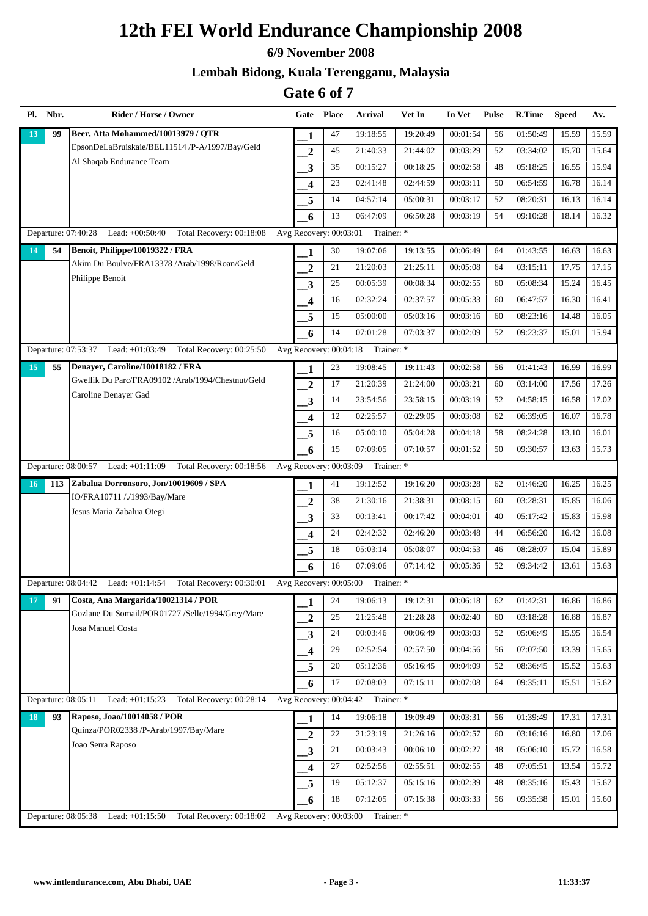#### **6/9 November 2008**

### **Lembah Bidong, Kuala Terengganu, Malaysia**

| Pl. Nbr.  | Rider / Horse / Owner                                                 | Gate Place              |    | Arrival                           | Vet In   | In Vet   | <b>Pulse</b> | R.Time   | <b>Speed</b> | Av.   |
|-----------|-----------------------------------------------------------------------|-------------------------|----|-----------------------------------|----------|----------|--------------|----------|--------------|-------|
| 99<br>13  | Beer, Atta Mohammed/10013979 / OTR                                    | 1                       | 47 | 19:18:55                          | 19:20:49 | 00:01:54 | 56           | 01:50:49 | 15.59        | 15.59 |
|           | EpsonDeLaBruiskaie/BEL11514 /P-A/1997/Bay/Geld                        | $\overline{2}$          | 45 | 21:40:33                          | 21:44:02 | 00:03:29 | 52           | 03:34:02 | 15.70        | 15.64 |
|           | Al Shaqab Endurance Team                                              | $\mathbf{3}$            | 35 | 00:15:27                          | 00:18:25 | 00:02:58 | 48           | 05:18:25 | 16.55        | 15.94 |
|           |                                                                       | $\overline{\mathbf{4}}$ | 23 | 02:41:48                          | 02:44:59 | 00:03:11 | 50           | 06:54:59 | 16.78        | 16.14 |
|           |                                                                       | 5                       | 14 | 04:57:14                          | 05:00:31 | 00:03:17 | 52           | 08:20:31 | 16.13        | 16.14 |
|           |                                                                       | 6                       | 13 | 06:47:09                          | 06:50:28 | 00:03:19 | 54           | 09:10:28 | 18.14        | 16.32 |
|           | Departure: 07:40:28<br>Lead: +00:50:40 Total Recovery: 00:18:08       | Avg Recovery: 00:03:01  |    | Trainer: *                        |          |          |              |          |              |       |
| 54<br>14  | Benoit, Philippe/10019322 / FRA                                       | 1                       | 30 | 19:07:06                          | 19:13:55 | 00:06:49 | 64           | 01:43:55 | 16.63        | 16.63 |
|           | Akim Du Boulve/FRA13378 /Arab/1998/Roan/Geld                          | $\overline{2}$          | 21 | 21:20:03                          | 21:25:11 | 00:05:08 | 64           | 03:15:11 | 17.75        | 17.15 |
|           | Philippe Benoit                                                       | $\overline{\mathbf{3}}$ | 25 | 00:05:39                          | 00:08:34 | 00:02:55 | 60           | 05:08:34 | 15.24        | 16.45 |
|           |                                                                       | 4                       | 16 | 02:32:24                          | 02:37:57 | 00:05:33 | 60           | 06:47:57 | 16.30        | 16.41 |
|           |                                                                       | 5                       | 15 | 05:00:00                          | 05:03:16 | 00:03:16 | 60           | 08:23:16 | 14.48        | 16.05 |
|           |                                                                       | 6                       | 14 | 07:01:28                          | 07:03:37 | 00:02:09 | 52           | 09:23:37 | 15.01        | 15.94 |
|           | Departure: 07:53:37 Lead: +01:03:49<br>Total Recovery: 00:25:50       | Avg Recovery: 00:04:18  |    | Trainer: *                        |          |          |              |          |              |       |
| 15<br>55  | Denayer, Caroline/10018182 / FRA                                      | 1                       | 23 | 19:08:45                          | 19:11:43 | 00:02:58 | 56           | 01:41:43 | 16.99        | 16.99 |
|           | Gwellik Du Parc/FRA09102 /Arab/1994/Chestnut/Geld                     | $\overline{2}$          | 17 | 21:20:39                          | 21:24:00 | 00:03:21 | 60           | 03:14:00 | 17.56        | 17.26 |
|           | Caroline Denayer Gad                                                  | $\overline{\mathbf{3}}$ | 14 | 23:54:56                          | 23:58:15 | 00:03:19 | 52           | 04:58:15 | 16.58        | 17.02 |
|           |                                                                       | $\overline{\mathbf{4}}$ | 12 | 02:25:57                          | 02:29:05 | 00:03:08 | 62           | 06:39:05 | 16.07        | 16.78 |
|           |                                                                       | 5                       | 16 | 05:00:10                          | 05:04:28 | 00:04:18 | 58           | 08:24:28 | 13.10        | 16.01 |
|           |                                                                       | 6                       | 15 | 07:09:05                          | 07:10:57 | 00:01:52 | 50           | 09:30:57 | 13.63        | 15.73 |
|           | Lead: +01:11:09<br>Total Recovery: 00:18:56<br>Departure: 08:00:57    | Avg Recovery: 00:03:09  |    | Trainer: *                        |          |          |              |          |              |       |
| 113<br>16 | Zabalua Dorronsoro, Jon/10019609 / SPA                                | 1                       | 41 | 19:12:52                          | 19:16:20 | 00:03:28 | 62           | 01:46:20 | 16.25        | 16.25 |
|           | IO/FRA10711 /./1993/Bay/Mare                                          | $\overline{2}$          | 38 | 21:30:16                          | 21:38:31 | 00:08:15 | 60           | 03:28:31 | 15.85        | 16.06 |
|           | Jesus Maria Zabalua Otegi                                             | 3                       | 33 | 00:13:41                          | 00:17:42 | 00:04:01 | 40           | 05:17:42 | 15.83        | 15.98 |
|           |                                                                       | $\boldsymbol{4}$        | 24 | 02:42:32                          | 02:46:20 | 00:03:48 | 44           | 06:56:20 | 16.42        | 16.08 |
|           |                                                                       | 5                       | 18 | 05:03:14                          | 05:08:07 | 00:04:53 | 46           | 08:28:07 | 15.04        | 15.89 |
|           |                                                                       | 6                       | 16 | 07:09:06                          | 07:14:42 | 00:05:36 | 52           | 09:34:42 | 13.61        | 15.63 |
|           | Departure: 08:04:42 Lead: +01:14:54 Total Recovery: 00:30:01          |                         |    | Avg Recovery: 00:05:00 Trainer: * |          |          |              |          |              |       |
| 17<br>91  | Costa, Ana Margarida/10021314 / POR                                   | 1                       | 24 | 19:06:13                          | 19:12:31 | 00:06:18 | 62           | 01:42:31 | 16.86        | 16.86 |
|           | Gozlane Du Somail/POR01727 /Selle/1994/Grey/Mare<br>Josa Manuel Costa | $\boldsymbol{2}$        | 25 | 21:25:48                          | 21:28:28 | 00:02:40 | 60           | 03:18:28 | 16.88        | 16.87 |
|           |                                                                       | $\mathbf{3}$            | 24 | 00:03:46                          | 00:06:49 | 00:03:03 | 52           | 05:06:49 | 15.95        | 16.54 |
|           |                                                                       | $\boldsymbol{4}$        | 29 | 02:52:54                          | 02:57:50 | 00:04:56 | 56           | 07:07:50 | 13.39        | 15.65 |
|           |                                                                       | 5                       | 20 | 05:12:36                          | 05:16:45 | 00:04:09 | 52           | 08:36:45 | 15.52        | 15.63 |
|           |                                                                       | 6                       | 17 | 07:08:03                          | 07:15:11 | 00:07:08 | 64           | 09:35:11 | 15.51        | 15.62 |
|           | Departure: 08:05:11<br>Lead: $+01:15:23$ Total Recovery: $00:28:14$   | Avg Recovery: 00:04:42  |    | Trainer: *                        |          |          |              |          |              |       |
| 18<br>93  | Raposo, Joao/10014058 / POR                                           | 1                       | 14 | 19:06:18                          | 19:09:49 | 00:03:31 | 56           | 01:39:49 | 17.31        | 17.31 |
|           | Quinza/POR02338 /P-Arab/1997/Bay/Mare                                 | $\overline{2}$          | 22 | 21:23:19                          | 21:26:16 | 00:02:57 | 60           | 03:16:16 | 16.80        | 17.06 |
|           | Joao Serra Raposo                                                     | $\mathbf{3}$            | 21 | 00:03:43                          | 00:06:10 | 00:02:27 | 48           | 05:06:10 | 15.72        | 16.58 |
|           |                                                                       | $\overline{\mathbf{4}}$ | 27 | 02:52:56                          | 02:55:51 | 00:02:55 | 48           | 07:05:51 | 13.54        | 15.72 |
|           |                                                                       | 5                       | 19 | 05:12:37                          | 05:15:16 | 00:02:39 | 48           | 08:35:16 | 15.43        | 15.67 |
|           |                                                                       | 6                       | 18 | 07:12:05                          | 07:15:38 | 00:03:33 | 56           | 09:35:38 | 15.01        | 15.60 |
|           | Departure: 08:05:38<br>Lead: $+01:15:50$<br>Total Recovery: 00:18:02  | Avg Recovery: 00:03:00  |    | Trainer: *                        |          |          |              |          |              |       |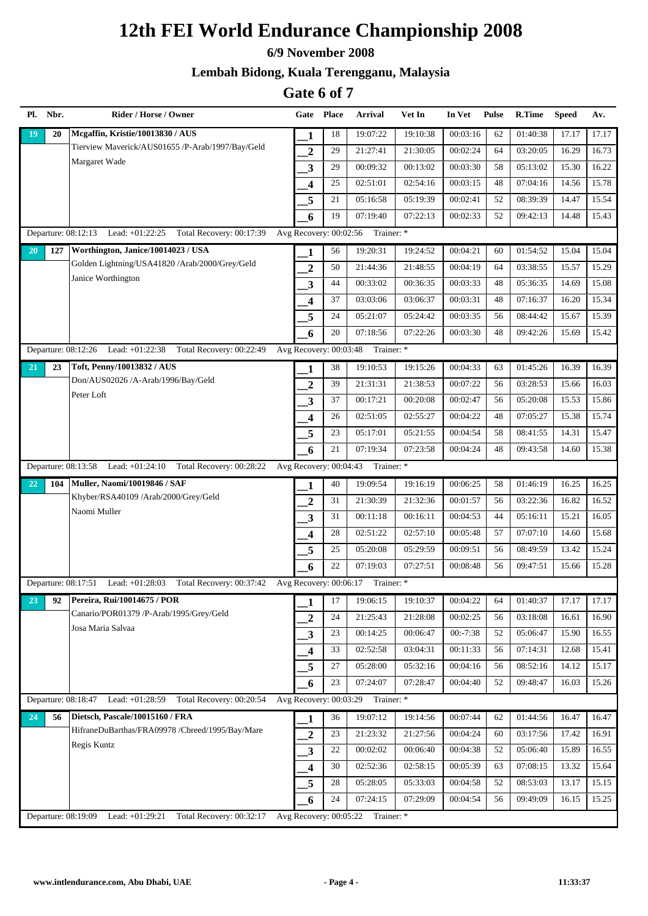#### **6/9 November 2008**

### **Lembah Bidong, Kuala Terengganu, Malaysia**

| Pl. Nbr.            | Rider / Horse / Owner                                                |                         | Gate Place | Arrival                           | Vet In   | In Vet     | Pulse | R.Time   | <b>Speed</b> | Av.   |
|---------------------|----------------------------------------------------------------------|-------------------------|------------|-----------------------------------|----------|------------|-------|----------|--------------|-------|
| 20<br>19            | Mcgaffin, Kristie/10013830 / AUS                                     | 1                       | 18         | 19:07:22                          | 19:10:38 | 00:03:16   | 62    | 01:40:38 | 17.17        | 17.17 |
|                     | Tierview Maverick/AUS01655 /P-Arab/1997/Bay/Geld                     | $\overline{2}$          | 29         | 21:27:41                          | 21:30:05 | 00:02:24   | 64    | 03:20:05 | 16.29        | 16.73 |
|                     | Margaret Wade                                                        | $\mathbf{3}$            | 29         | 00:09:32                          | 00:13:02 | 00:03:30   | 58    | 05:13:02 | 15.30        | 16.22 |
|                     |                                                                      | $\overline{\mathbf{4}}$ | 25         | 02:51:01                          | 02:54:16 | 00:03:15   | 48    | 07:04:16 | 14.56        | 15.78 |
|                     |                                                                      | 5                       | 21         | 05:16:58                          | 05:19:39 | 00:02:41   | 52    | 08:39:39 | 14.47        | 15.54 |
|                     |                                                                      | 6                       | 19         | 07:19:40                          | 07:22:13 | 00:02:33   | 52    | 09:42:13 | 14.48        | 15.43 |
|                     | Departure: 08:12:13 Lead: +01:22:25 Total Recovery: 00:17:39         | Avg Recovery: 00:02:56  |            | Trainer: *                        |          |            |       |          |              |       |
| 127<br><b>20</b>    | Worthington, Janice/10014023 / USA                                   | 1                       | 56         | 19:20:31                          | 19:24:52 | 00:04:21   | 60    | 01:54:52 | 15.04        | 15.04 |
|                     | Golden Lightning/USA41820 /Arab/2000/Grey/Geld                       | $\boldsymbol{2}$        | 50         | 21:44:36                          | 21:48:55 | 00:04:19   | 64    | 03:38:55 | 15.57        | 15.29 |
|                     | Janice Worthington                                                   | 3                       | 44         | 00:33:02                          | 00:36:35 | 00:03:33   | 48    | 05:36:35 | 14.69        | 15.08 |
|                     |                                                                      | $\overline{\mathbf{4}}$ | 37         | 03:03:06                          | 03:06:37 | 00:03:31   | 48    | 07:16:37 | 16.20        | 15.34 |
|                     |                                                                      | 5                       | 24         | 05:21:07                          | 05:24:42 | 00:03:35   | 56    | 08:44:42 | 15.67        | 15.39 |
|                     |                                                                      | 6                       | 20         | 07:18:56                          | 07:22:26 | 00:03:30   | 48    | 09:42:26 | 15.69        | 15.42 |
|                     | Departure: 08:12:26 Lead: +01:22:38 Total Recovery: 00:22:49         | Avg Recovery: 00:03:48  |            | Trainer: *                        |          |            |       |          |              |       |
| 23<br>21            | Toft, Penny/10013832 / AUS                                           | 1                       | 38         | 19:10:53                          | 19:15:26 | 00:04:33   | 63    | 01:45:26 | 16.39        | 16.39 |
|                     | Don/AUS02026 /A-Arab/1996/Bay/Geld                                   | $\boldsymbol{2}$        | 39         | 21:31:31                          | 21:38:53 | 00:07:22   | 56    | 03:28:53 | 15.66        | 16.03 |
|                     | Peter Loft                                                           | $\mathbf{3}$            | 37         | 00:17:21                          | 00:20:08 | 00:02:47   | 56    | 05:20:08 | 15.53        | 15.86 |
|                     |                                                                      | $\overline{\mathbf{4}}$ | 26         | 02:51:05                          | 02:55:27 | 00:04:22   | 48    | 07:05:27 | 15.38        | 15.74 |
|                     |                                                                      | 5                       | 23         | 05:17:01                          | 05:21:55 | 00:04:54   | 58    | 08:41:55 | 14.31        | 15.47 |
|                     |                                                                      | 6                       | 21         | 07:19:34                          | 07:23:58 | 00:04:24   | 48    | 09:43:58 | 14.60        | 15.38 |
|                     | Departure: 08:13:58<br>Lead: +01:24:10 Total Recovery: 00:28:22      | Avg Recovery: 00:04:43  |            | Trainer: *                        |          |            |       |          |              |       |
| 22<br>104           | <b>Muller, Naomi/10019846 / SAF</b>                                  | 1                       | 40         | 19:09:54                          | 19:16:19 | 00:06:25   | 58    | 01:46:19 | 16.25        | 16.25 |
|                     | Khyber/RSA40109 /Arab/2000/Grey/Geld                                 | $\boldsymbol{2}$        | 31         | 21:30:39                          | 21:32:36 | 00:01:57   | 56    | 03:22:36 | 16.82        | 16.52 |
|                     | Naomi Muller                                                         | $\overline{\mathbf{3}}$ | 31         | 00:11:18                          | 00:16:11 | 00:04:53   | 44    | 05:16:11 | 15.21        | 16.05 |
|                     |                                                                      | $\overline{\mathbf{4}}$ | 28         | 02:51:22                          | 02:57:10 | 00:05:48   | 57    | 07:07:10 | 14.60        | 15.68 |
|                     |                                                                      | 5                       | 25         | 05:20:08                          | 05:29:59 | 00:09:51   | 56    | 08:49:59 | 13.42        | 15.24 |
|                     |                                                                      | 6                       | 22         | 07:19:03                          | 07:27:51 | 00:08:48   | 56    | 09:47:51 | 15.66        | 15.28 |
|                     | Departure: 08:17:51 Lead: +01:28:03<br>Total Recovery: 00:37:42      | Avg Recovery: 00:06:17  |            | Trainer: *                        |          |            |       |          |              |       |
| 23<br>92            | Pereira, Rui/10014675 / POR                                          | 1                       | 17         | 19:06:15                          | 19:10:37 | 00:04:22   | 64    | 01:40:37 | 17.17        | 17.17 |
|                     | Canario/POR01379 /P-Arab/1995/Grey/Geld<br>Josa Maria Salvaa         | $\mathbf{2}$            | 24         | 21:25:43                          | 21:28:08 | 00:02:25   | 56    | 03:18:08 | 16.61        | 16.90 |
|                     |                                                                      | $\mathbf{3}$            | 23         | 00:14:25                          | 00:06:47 | $00:-7:38$ | 52    | 05:06:47 | 15.90        | 16.55 |
|                     |                                                                      | $\overline{\mathbf{4}}$ | 33         | 02:52:58                          | 03:04:31 | 00:11:33   | 56    | 07:14:31 | 12.68        | 15.41 |
|                     |                                                                      | 5                       | 27         | 05:28:00                          | 05:32:16 | 00:04:16   | 56    | 08:52:16 | 14.12        | 15.17 |
|                     |                                                                      | 6                       | 23         | 07:24:07                          | 07:28:47 | 00:04:40   | 52    | 09:48:47 | 16.03        | 15.26 |
|                     | Departure: 08:18:47<br>Lead: $+01:28:59$<br>Total Recovery: 00:20:54 |                         |            | Avg Recovery: 00:03:29 Trainer: * |          |            |       |          |              |       |
| 24<br>56            | Dietsch, Pascale/10015160 / FRA                                      | 1                       | 36         | 19:07:12                          | 19:14:56 | 00:07:44   | 62    | 01:44:56 | 16.47        | 16.47 |
|                     | HifraneDuBarthas/FRA09978 /Cbreed/1995/Bay/Mare                      | $\boldsymbol{2}$        | 23         | 21:23:32                          | 21:27:56 | 00:04:24   | 60    | 03:17:56 | 17.42        | 16.91 |
|                     | Regis Kuntz                                                          | $\mathbf{3}$            | 22         | 00:02:02                          | 00:06:40 | 00:04:38   | 52    | 05:06:40 | 15.89        | 16.55 |
|                     |                                                                      | $\overline{\mathbf{4}}$ | 30         | 02:52:36                          | 02:58:15 | 00:05:39   | 63    | 07:08:15 | 13.32        | 15.64 |
|                     |                                                                      | 5                       | 28         | 05:28:05                          | 05:33:03 | 00:04:58   | 52    | 08:53:03 | 13.17        | 15.15 |
|                     |                                                                      | 6                       | 24         | 07:24:15                          | 07:29:09 | 00:04:54   | 56    | 09:49:09 | 16.15        | 15.25 |
| Departure: 08:19:09 | Total Recovery: 00:32:17<br>Lead: +01:29:21                          |                         |            | Avg Recovery: 00:05:22 Trainer: * |          |            |       |          |              |       |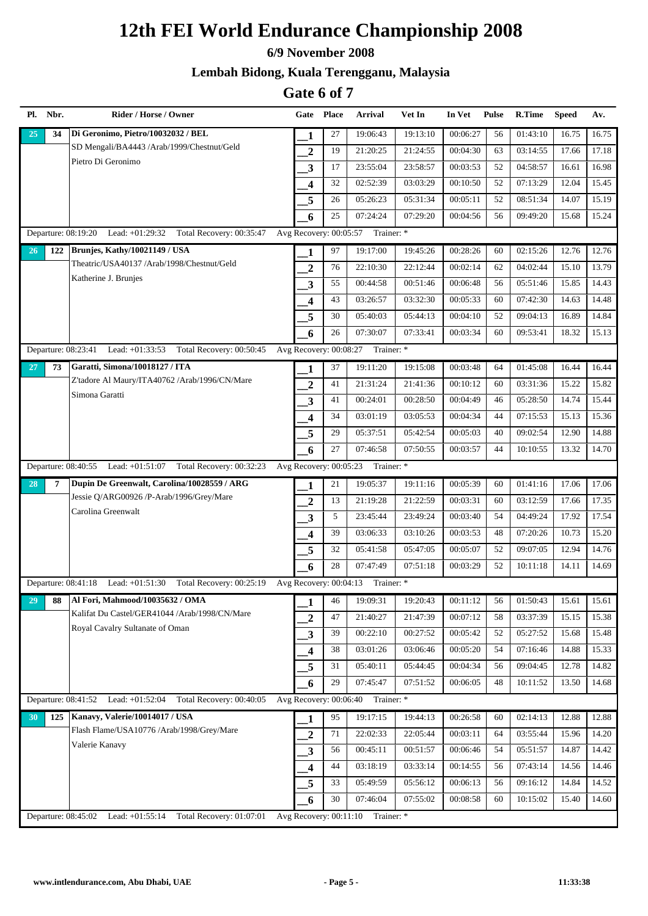#### **6/9 November 2008**

### **Lembah Bidong, Kuala Terengganu, Malaysia**

| Pl. Nbr.            | Rider / Horse / Owner                                           | Gate                    | <b>Place</b> | Arrival                           | Vet In   | In Vet   | <b>Pulse</b> | R.Time   | <b>Speed</b> | Av.   |
|---------------------|-----------------------------------------------------------------|-------------------------|--------------|-----------------------------------|----------|----------|--------------|----------|--------------|-------|
| 34<br>25            | Di Geronimo, Pietro/10032032 / BEL                              | 1                       | 27           | 19:06:43                          | 19:13:10 | 00:06:27 | 56           | 01:43:10 | 16.75        | 16.75 |
|                     | SD Mengali/BA4443 /Arab/1999/Chestnut/Geld                      | $\boldsymbol{2}$        | 19           | 21:20:25                          | 21:24:55 | 00:04:30 | 63           | 03:14:55 | 17.66        | 17.18 |
|                     | Pietro Di Geronimo                                              | 3                       | 17           | 23:55:04                          | 23:58:57 | 00:03:53 | 52           | 04:58:57 | 16.61        | 16.98 |
|                     |                                                                 | $\boldsymbol{4}$        | 32           | 02:52:39                          | 03:03:29 | 00:10:50 | 52           | 07:13:29 | 12.04        | 15.45 |
|                     |                                                                 | 5                       | 26           | 05:26:23                          | 05:31:34 | 00:05:11 | 52           | 08:51:34 | 14.07        | 15.19 |
|                     |                                                                 | 6                       | 25           | 07:24:24                          | 07:29:20 | 00:04:56 | 56           | 09:49:20 | 15.68        | 15.24 |
|                     | Departure: 08:19:20 Lead: +01:29:32 Total Recovery: 00:35:47    | Avg Recovery: 00:05:57  |              | Trainer: *                        |          |          |              |          |              |       |
| 122<br>26           | Brunjes, Kathy/10021149 / USA                                   | 1                       | 97           | 19:17:00                          | 19:45:26 | 00:28:26 | 60           | 02:15:26 | 12.76        | 12.76 |
|                     | Theatric/USA40137 /Arab/1998/Chestnut/Geld                      | $\boldsymbol{2}$        | 76           | 22:10:30                          | 22:12:44 | 00:02:14 | 62           | 04:02:44 | 15.10        | 13.79 |
|                     | Katherine J. Brunjes                                            | $\mathbf{3}$            | 55           | 00:44:58                          | 00:51:46 | 00:06:48 | 56           | 05:51:46 | 15.85        | 14.43 |
|                     |                                                                 | 4                       | 43           | 03:26:57                          | 03:32:30 | 00:05:33 | 60           | 07:42:30 | 14.63        | 14.48 |
|                     |                                                                 | 5                       | 30           | 05:40:03                          | 05:44:13 | 00:04:10 | 52           | 09:04:13 | 16.89        | 14.84 |
|                     |                                                                 | 6                       | 26           | 07:30:07                          | 07:33:41 | 00:03:34 | 60           | 09:53:41 | 18.32        | 15.13 |
| Departure: 08:23:41 | Lead: +01:33:53<br>Total Recovery: 00:50:45                     | Avg Recovery: 00:08:27  |              | Trainer: *                        |          |          |              |          |              |       |
| 27<br>73            | Garatti, Simona/10018127 / ITA                                  | 1                       | 37           | 19:11:20                          | 19:15:08 | 00:03:48 | 64           | 01:45:08 | 16.44        | 16.44 |
|                     | Z'tadore Al Maury/ITA40762 /Arab/1996/CN/Mare                   | $\overline{2}$          | 41           | 21:31:24                          | 21:41:36 | 00:10:12 | 60           | 03:31:36 | 15.22        | 15.82 |
|                     | Simona Garatti                                                  | $\overline{\mathbf{3}}$ | 41           | 00:24:01                          | 00:28:50 | 00:04:49 | 46           | 05:28:50 | 14.74        | 15.44 |
|                     |                                                                 | 4                       | 34           | 03:01:19                          | 03:05:53 | 00:04:34 | 44           | 07:15:53 | 15.13        | 15.36 |
|                     |                                                                 | 5                       | 29           | 05:37:51                          | 05:42:54 | 00:05:03 | 40           | 09:02:54 | 12.90        | 14.88 |
|                     |                                                                 | 6                       | 27           | 07:46:58                          | 07:50:55 | 00:03:57 | 44           | 10:10:55 | 13.32        | 14.70 |
|                     | Departure: 08:40:55 Lead: +01:51:07 Total Recovery: 00:32:23    | Avg Recovery: 00:05:23  |              | Trainer: *                        |          |          |              |          |              |       |
| 28<br>7             | Dupin De Greenwalt, Carolina/10028559 / ARG                     | 1                       | 21           | 19:05:37                          | 19:11:16 | 00:05:39 | 60           | 01:41:16 | 17.06        | 17.06 |
|                     | Jessie Q/ARG00926 /P-Arab/1996/Grey/Mare                        | $\overline{2}$          | 13           | 21:19:28                          | 21:22:59 | 00:03:31 | 60           | 03:12:59 | 17.66        | 17.35 |
|                     | Carolina Greenwalt                                              | $\mathbf{3}$            | 5            | 23:45:44                          | 23:49:24 | 00:03:40 | 54           | 04:49:24 | 17.92        | 17.54 |
|                     |                                                                 | $\overline{\mathbf{4}}$ | 39           | 03:06:33                          | 03:10:26 | 00:03:53 | 48           | 07:20:26 | 10.73        | 15.20 |
|                     |                                                                 | 5                       | 32           | 05:41:58                          | 05:47:05 | 00:05:07 | 52           | 09:07:05 | 12.94        | 14.76 |
|                     |                                                                 | 6                       | 28           | 07:47:49                          | 07:51:18 | 00:03:29 | 52           | 10:11:18 | 14.11        | 14.69 |
|                     | Departure: 08:41:18 Lead: +01:51:30<br>Total Recovery: 00:25:19 |                         |              | Avg Recovery: 00:04:13 Trainer: * |          |          |              |          |              |       |
| 29<br>88            | Al Fori, Mahmood/10035632 / OMA                                 | 1                       | 46           | 19:09:31                          | 19:20:43 | 00:11:12 | 56           | 01:50:43 | 15.61        | 15.61 |
|                     | Kalifat Du Castel/GER41044 /Arab/1998/CN/Mare                   | $\boldsymbol{2}$        | 47           | 21:40:27                          | 21:47:39 | 00:07:12 | 58           | 03:37:39 | 15.15        | 15.38 |
|                     | Royal Cavalry Sultanate of Oman                                 | $\mathbf{3}$            | 39           | 00:22:10                          | 00:27:52 | 00:05:42 | 52           | 05:27:52 | 15.68        | 15.48 |
|                     |                                                                 | $\overline{\mathbf{4}}$ | 38           | 03:01:26                          | 03:06:46 | 00:05:20 | 54           | 07:16:46 | 14.88        | 15.33 |
|                     |                                                                 | 5                       | 31           | 05:40:11                          | 05:44:45 | 00:04:34 | 56           | 09:04:45 | 12.78        | 14.82 |
|                     |                                                                 | 6                       | 29           | 07:45:47                          | 07:51:52 | 00:06:05 | 48           | 10:11:52 | 13.50        | 14.68 |
|                     | Departure: 08:41:52 Lead: +01:52:04 Total Recovery: 00:40:05    | Avg Recovery: 00:06:40  |              | Trainer: *                        |          |          |              |          |              |       |
| 30<br>125           | Kanavy, Valerie/10014017 / USA                                  | 1                       | 95           | 19:17:15                          | 19:44:13 | 00:26:58 | 60           | 02:14:13 | 12.88        | 12.88 |
|                     | Flash Flame/USA10776 /Arab/1998/Grey/Mare                       | $\overline{\mathbf{2}}$ | 71           | 22:02:33                          | 22:05:44 | 00:03:11 | 64           | 03:55:44 | 15.96        | 14.20 |
|                     | Valerie Kanavy                                                  | 3                       | 56           | 00:45:11                          | 00:51:57 | 00:06:46 | 54           | 05:51:57 | 14.87        | 14.42 |
|                     |                                                                 | $\overline{\mathbf{4}}$ | 44           | 03:18:19                          | 03:33:14 | 00:14:55 | 56           | 07:43:14 | 14.56        | 14.46 |
|                     |                                                                 | 5                       | 33           | 05:49:59                          | 05:56:12 | 00:06:13 | 56           | 09:16:12 | 14.84        | 14.52 |
|                     |                                                                 | 6                       | 30           | 07:46:04                          | 07:55:02 | 00:08:58 | 60           | 10:15:02 | 15.40        | 14.60 |
| Departure: 08:45:02 | Lead: $+01:55:14$<br>Total Recovery: 01:07:01                   |                         |              | Avg Recovery: 00:11:10 Trainer: * |          |          |              |          |              |       |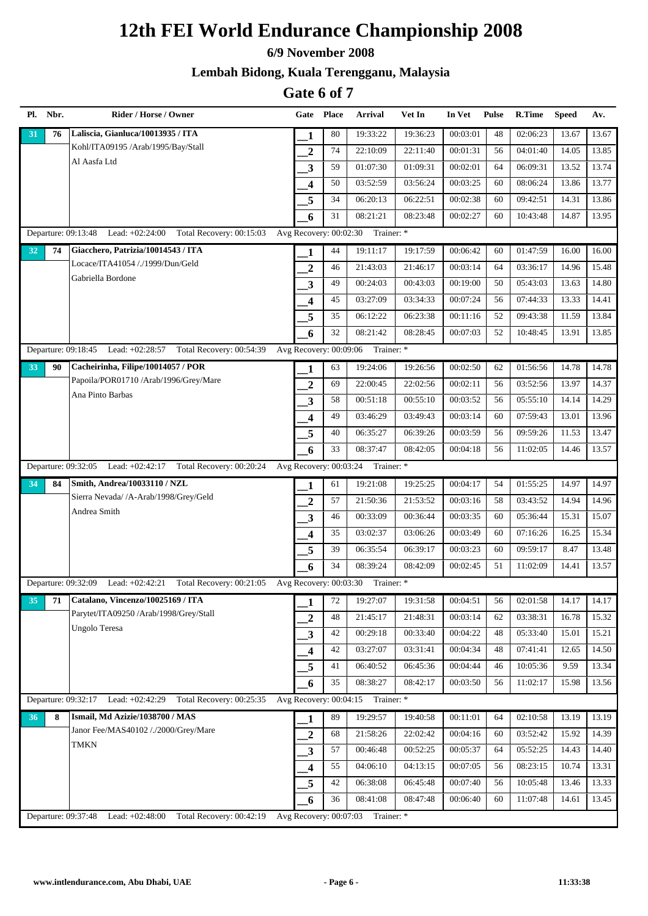#### **6/9 November 2008**

### **Lembah Bidong, Kuala Terengganu, Malaysia**

|    | Pl. Nbr. | Rider / Horse / Owner                                                | Gate                                           | <b>Place</b> | Arrival                           | Vet In   | In Vet   | <b>Pulse</b> | <b>R.Time</b> | <b>Speed</b> | Av.   |
|----|----------|----------------------------------------------------------------------|------------------------------------------------|--------------|-----------------------------------|----------|----------|--------------|---------------|--------------|-------|
| 31 | 76       | Laliscia, Gianluca/10013935 / ITA                                    | 1                                              | 80           | 19:33:22                          | 19:36:23 | 00:03:01 | 48           | 02:06:23      | 13.67        | 13.67 |
|    |          | Kohl/ITA09195 /Arab/1995/Bay/Stall                                   | $\boldsymbol{2}$                               | 74           | 22:10:09                          | 22:11:40 | 00:01:31 | 56           | 04:01:40      | 14.05        | 13.85 |
|    |          | Al Aasfa Ltd                                                         | 3                                              | 59           | 01:07:30                          | 01:09:31 | 00:02:01 | 64           | 06:09:31      | 13.52        | 13.74 |
|    |          |                                                                      | 4                                              | 50           | 03:52:59                          | 03:56:24 | 00:03:25 | 60           | 08:06:24      | 13.86        | 13.77 |
|    |          |                                                                      | 5                                              | 34           | 06:20:13                          | 06:22:51 | 00:02:38 | 60           | 09:42:51      | 14.31        | 13.86 |
|    |          |                                                                      | 6                                              | 31           | 08:21:21                          | 08:23:48 | 00:02:27 | 60           | 10:43:48      | 14.87        | 13.95 |
|    |          | Departure: 09:13:48 Lead: +02:24:00 Total Recovery: 00:15:03         | Avg Recovery: 00:02:30                         |              | Trainer: *                        |          |          |              |               |              |       |
| 32 | 74       | Giacchero, Patrizia/10014543 / ITA                                   | 1                                              | 44           | 19:11:17                          | 19:17:59 | 00:06:42 | 60           | 01:47:59      | 16.00        | 16.00 |
|    |          | Locace/ITA41054 /./1999/Dun/Geld                                     | $\boldsymbol{2}$                               | 46           | 21:43:03                          | 21:46:17 | 00:03:14 | 64           | 03:36:17      | 14.96        | 15.48 |
|    |          | Gabriella Bordone                                                    | $\mathbf{3}$                                   | 49           | 00:24:03                          | 00:43:03 | 00:19:00 | 50           | 05:43:03      | 13.63        | 14.80 |
|    |          |                                                                      | $\overline{\mathbf{4}}$                        | 45           | 03:27:09                          | 03:34:33 | 00:07:24 | 56           | 07:44:33      | 13.33        | 14.41 |
|    |          |                                                                      | 5                                              | 35           | 06:12:22                          | 06:23:38 | 00:11:16 | 52           | 09:43:38      | 11.59        | 13.84 |
|    |          |                                                                      | 6                                              | 32           | 08:21:42                          | 08:28:45 | 00:07:03 | 52           | 10:48:45      | 13.91        | 13.85 |
|    |          | Departure: 09:18:45<br>Lead: +02:28:57<br>Total Recovery: 00:54:39   | Avg Recovery: 00:09:06                         |              | Trainer: *                        |          |          |              |               |              |       |
| 33 | 90       | Cacheirinha, Filipe/10014057 / POR                                   | 1                                              | 63           | 19:24:06                          | 19:26:56 | 00:02:50 | 62           | 01:56:56      | 14.78        | 14.78 |
|    |          | Papoila/POR01710 /Arab/1996/Grey/Mare                                | $\boldsymbol{2}$                               | 69           | 22:00:45                          | 22:02:56 | 00:02:11 | 56           | 03:52:56      | 13.97        | 14.37 |
|    |          | Ana Pinto Barbas                                                     | $\mathbf{3}$                                   | 58           | 00:51:18                          | 00:55:10 | 00:03:52 | 56           | 05:55:10      | 14.14        | 14.29 |
|    |          |                                                                      | 4                                              | 49           | 03:46:29                          | 03:49:43 | 00:03:14 | 60           | 07:59:43      | 13.01        | 13.96 |
|    |          |                                                                      | 5                                              | 40           | 06:35:27                          | 06:39:26 | 00:03:59 | 56           | 09:59:26      | 11.53        | 13.47 |
|    |          |                                                                      | 6                                              | 33           | 08:37:47                          | 08:42:05 | 00:04:18 | 56           | 11:02:05      | 14.46        | 13.57 |
|    |          | Lead: +02:42:17<br>Total Recovery: 00:20:24<br>Departure: 09:32:05   | Avg Recovery: 00:03:24                         |              | Trainer: *                        |          |          |              |               |              |       |
| 34 | 84       | Smith, Andrea/10033110 / NZL                                         | 1                                              | 61           | 19:21:08                          | 19:25:25 | 00:04:17 | 54           | 01:55:25      | 14.97        | 14.97 |
|    |          | Sierra Nevada/ /A-Arab/1998/Grey/Geld                                | $\mathbf{2}$                                   | 57           | 21:50:36                          | 21:53:52 | 00:03:16 | 58           | 03:43:52      | 14.94        | 14.96 |
|    |          | Andrea Smith                                                         | $\mathbf{3}$                                   | 46           | 00:33:09                          | 00:36:44 | 00:03:35 | 60           | 05:36:44      | 15.31        | 15.07 |
|    |          |                                                                      | $\overline{\mathbf{4}}$                        | 35           | 03:02:37                          | 03:06:26 | 00:03:49 | 60           | 07:16:26      | 16.25        | 15.34 |
|    |          |                                                                      | 5                                              | 39           | 06:35:54                          | 06:39:17 | 00:03:23 | 60           | 09:59:17      | 8.47         | 13.48 |
|    |          |                                                                      | 6                                              | 34           | 08:39:24                          | 08:42:09 | 00:02:45 | 51           | 11:02:09      | 14.41        | 13.57 |
|    |          | Lead: +02:42:21<br>Total Recovery: 00:21:05<br>Departure: 09:32:09   |                                                |              | Avg Recovery: 00:03:30 Trainer: * |          |          |              |               |              |       |
| 35 | 71       | Catalano, Vincenzo/10025169 / ITA                                    | $\mathbf{1}% \in\mathbb{Z}_{+}^{d}[z,\bar{z}]$ | 72           | 19:27:07                          | 19:31:58 | 00:04:51 | 56           | 02:01:58      | 14.17        | 14.17 |
|    |          | Parytet/ITA09250 /Arab/1998/Grey/Stall                               | $\boldsymbol{2}$                               | 48           | 21:45:17                          | 21:48:31 | 00:03:14 | 62           | 03:38:31      | 16.78        | 15.32 |
|    |          | Ungolo Teresa                                                        | $\mathbf{3}$                                   | 42           | 00:29:18                          | 00:33:40 | 00:04:22 | 48           | 05:33:40      | 15.01        | 15.21 |
|    |          |                                                                      | $\overline{\mathbf{4}}$                        | 42           | 03:27:07                          | 03:31:41 | 00:04:34 | 48           | 07:41:41      | 12.65        | 14.50 |
|    |          |                                                                      | 5                                              | 41           | 06:40:52                          | 06:45:36 | 00:04:44 | 46           | 10:05:36      | 9.59         | 13.34 |
|    |          |                                                                      | 6                                              | 35           | 08:38:27                          | 08:42:17 | 00:03:50 | 56           | 11:02:17      | 15.98        | 13.56 |
|    |          | Departure: 09:32:17 Lead: +02:42:29 Total Recovery: 00:25:35         |                                                |              | Avg Recovery: 00:04:15 Trainer: * |          |          |              |               |              |       |
| 36 | 8        | Ismail, Md Azizie/1038700 / MAS                                      | 1                                              | 89           | 19:29:57                          | 19:40:58 | 00:11:01 | 64           | 02:10:58      | 13.19        | 13.19 |
|    |          | Janor Fee/MAS40102 /./2000/Grey/Mare                                 | $\overline{\mathbf{2}}$                        | 68           | 21:58:26                          | 22:02:42 | 00:04:16 | 60           | 03:52:42      | 15.92        | 14.39 |
|    |          | <b>TMKN</b>                                                          | 3                                              | 57           | 00:46:48                          | 00:52:25 | 00:05:37 | 64           | 05:52:25      | 14.43        | 14.40 |
|    |          |                                                                      | $\overline{\mathbf{4}}$                        | 55           | 04:06:10                          | 04:13:15 | 00:07:05 | 56           | 08:23:15      | 10.74        | 13.31 |
|    |          |                                                                      | 5                                              | 42           | 06:38:08                          | 06:45:48 | 00:07:40 | 56           | 10:05:48      | 13.46        | 13.33 |
|    |          |                                                                      | 6                                              | 36           | 08:41:08                          | 08:47:48 | 00:06:40 | 60           | 11:07:48      | 14.61        | 13.45 |
|    |          | Departure: 09:37:48<br>Lead: $+02:48:00$<br>Total Recovery: 00:42:19 | Avg Recovery: 00:07:03                         |              | Trainer: *                        |          |          |              |               |              |       |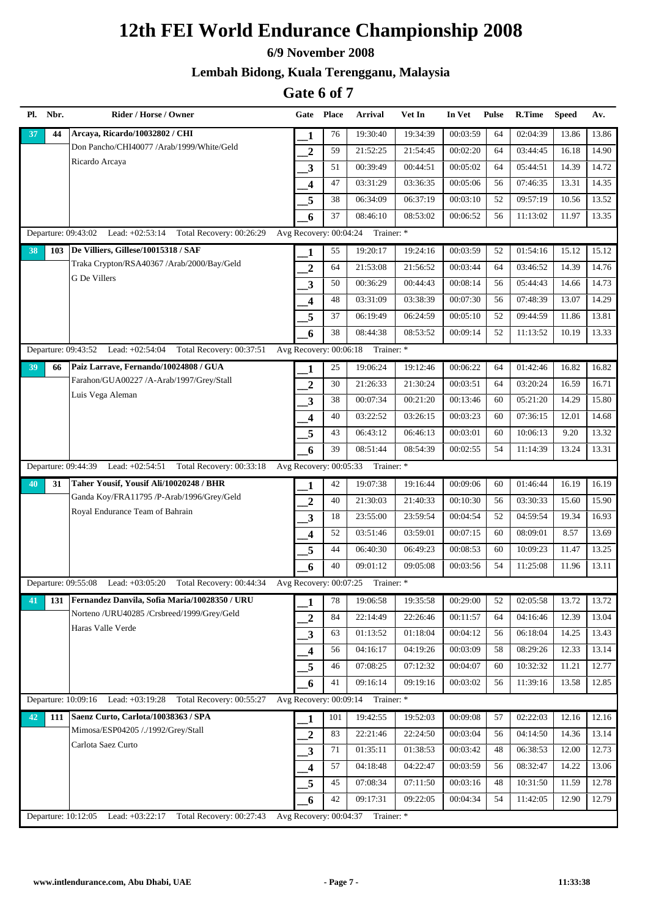#### **6/9 November 2008**

### **Lembah Bidong, Kuala Terengganu, Malaysia**

|    | Pl. Nbr. | Rider / Horse / Owner                                                | Gate                    | <b>Place</b> | Arrival                           | Vet In   | In Vet   | <b>Pulse</b> | R.Time   | <b>Speed</b> | Av.   |
|----|----------|----------------------------------------------------------------------|-------------------------|--------------|-----------------------------------|----------|----------|--------------|----------|--------------|-------|
| 37 | 44       | Arcaya, Ricardo/10032802 / CHI                                       | 1                       | 76           | 19:30:40                          | 19:34:39 | 00:03:59 | 64           | 02:04:39 | 13.86        | 13.86 |
|    |          | Don Pancho/CHI40077 /Arab/1999/White/Geld                            | $\boldsymbol{2}$        | 59           | 21:52:25                          | 21:54:45 | 00:02:20 | 64           | 03:44:45 | 16.18        | 14.90 |
|    |          | Ricardo Arcaya                                                       | 3                       | 51           | 00:39:49                          | 00:44:51 | 00:05:02 | 64           | 05:44:51 | 14.39        | 14.72 |
|    |          |                                                                      | 4                       | 47           | 03:31:29                          | 03:36:35 | 00:05:06 | 56           | 07:46:35 | 13.31        | 14.35 |
|    |          |                                                                      | 5                       | 38           | 06:34:09                          | 06:37:19 | 00:03:10 | 52           | 09:57:19 | 10.56        | 13.52 |
|    |          |                                                                      | 6                       | 37           | 08:46:10                          | 08:53:02 | 00:06:52 | 56           | 11:13:02 | 11.97        | 13.35 |
|    |          | Departure: 09:43:02 Lead: +02:53:14 Total Recovery: 00:26:29         | Avg Recovery: 00:04:24  |              | Trainer: *                        |          |          |              |          |              |       |
| 38 | 103      | De Villiers, Gillese/10015318 / SAF                                  | 1                       | 55           | 19:20:17                          | 19:24:16 | 00:03:59 | 52           | 01:54:16 | 15.12        | 15.12 |
|    |          | Traka Crypton/RSA40367 /Arab/2000/Bay/Geld                           | $\boldsymbol{2}$        | 64           | 21:53:08                          | 21:56:52 | 00:03:44 | 64           | 03:46:52 | 14.39        | 14.76 |
|    |          | <b>G</b> De Villers                                                  | $\overline{\mathbf{3}}$ | 50           | 00:36:29                          | 00:44:43 | 00:08:14 | 56           | 05:44:43 | 14.66        | 14.73 |
|    |          |                                                                      | 4                       | 48           | 03:31:09                          | 03:38:39 | 00:07:30 | 56           | 07:48:39 | 13.07        | 14.29 |
|    |          |                                                                      | 5                       | 37           | 06:19:49                          | 06:24:59 | 00:05:10 | 52           | 09:44:59 | 11.86        | 13.81 |
|    |          |                                                                      | 6                       | 38           | 08:44:38                          | 08:53:52 | 00:09:14 | 52           | 11:13:52 | 10.19        | 13.33 |
|    |          | Lead: +02:54:04<br>Departure: 09:43:52<br>Total Recovery: 00:37:51   | Avg Recovery: 00:06:18  |              | Trainer: *                        |          |          |              |          |              |       |
| 39 | 66       | Paiz Larrave, Fernando/10024808 / GUA                                | 1                       | 25           | 19:06:24                          | 19:12:46 | 00:06:22 | 64           | 01:42:46 | 16.82        | 16.82 |
|    |          | Farahon/GUA00227 /A-Arab/1997/Grey/Stall                             | $\boldsymbol{2}$        | 30           | 21:26:33                          | 21:30:24 | 00:03:51 | 64           | 03:20:24 | 16.59        | 16.71 |
|    |          | Luis Vega Aleman                                                     | $\mathbf{3}$            | 38           | 00:07:34                          | 00:21:20 | 00:13:46 | 60           | 05:21:20 | 14.29        | 15.80 |
|    |          |                                                                      | 4                       | 40           | 03:22:52                          | 03:26:15 | 00:03:23 | 60           | 07:36:15 | 12.01        | 14.68 |
|    |          |                                                                      | 5                       | 43           | 06:43:12                          | 06:46:13 | 00:03:01 | 60           | 10:06:13 | 9.20         | 13.32 |
|    |          |                                                                      | 6                       | 39           | 08:51:44                          | 08:54:39 | 00:02:55 | 54           | 11:14:39 | 13.24        | 13.31 |
|    |          | Departure: 09:44:39<br>Lead: +02:54:51 Total Recovery: 00:33:18      | Avg Recovery: 00:05:33  |              | Trainer: *                        |          |          |              |          |              |       |
| 40 | 31       | Taher Yousif, Yousif Ali/10020248 / BHR                              | 1                       | 42           | 19:07:38                          | 19:16:44 | 00:09:06 | 60           | 01:46:44 | 16.19        | 16.19 |
|    |          | Ganda Koy/FRA11795 /P-Arab/1996/Grey/Geld                            | $\mathbf{2}$            | 40           | 21:30:03                          | 21:40:33 | 00:10:30 | 56           | 03:30:33 | 15.60        | 15.90 |
|    |          | Royal Endurance Team of Bahrain                                      | $\mathbf{3}$            | 18           | 23:55:00                          | 23:59:54 | 00:04:54 | 52           | 04:59:54 | 19.34        | 16.93 |
|    |          |                                                                      | $\overline{\mathbf{4}}$ | 52           | 03:51:46                          | 03:59:01 | 00:07:15 | 60           | 08:09:01 | 8.57         | 13.69 |
|    |          |                                                                      | 5                       | 44           | 06:40:30                          | 06:49:23 | 00:08:53 | 60           | 10:09:23 | 11.47        | 13.25 |
|    |          |                                                                      | 6                       | 40           | 09:01:12                          | 09:05:08 | 00:03:56 | 54           | 11:25:08 | 11.96        | 13.11 |
|    |          | Lead: +03:05:20<br>Total Recovery: 00:44:34<br>Departure: 09:55:08   |                         |              | Avg Recovery: 00:07:25 Trainer: * |          |          |              |          |              |       |
| 41 | 131      | Fernandez Danvila, Sofia Maria/10028350 / URU                        | 1                       | 78           | 19:06:58                          | 19:35:58 | 00:29:00 | 52           | 02:05:58 | 13.72        | 13.72 |
|    |          | Norteno /URU40285 /Crsbreed/1999/Grey/Geld                           | $\boldsymbol{2}$        | 84           | 22:14:49                          | 22:26:46 | 00:11:57 | 64           | 04:16:46 | 12.39        | 13.04 |
|    |          | Haras Valle Verde                                                    | $\mathbf{3}$            | 63           | 01:13:52                          | 01:18:04 | 00:04:12 | 56           | 06:18:04 | 14.25        | 13.43 |
|    |          |                                                                      | $\overline{\mathbf{4}}$ | 56           | 04:16:17                          | 04:19:26 | 00:03:09 | 58           | 08:29:26 | 12.33        | 13.14 |
|    |          |                                                                      | 5                       | 46           | 07:08:25                          | 07:12:32 | 00:04:07 | 60           | 10:32:32 | 11.21        | 12.77 |
|    |          |                                                                      | 6                       | 41           | 09:16:14                          | 09:19:16 | 00:03:02 | 56           | 11:39:16 | 13.58        | 12.85 |
|    |          | Departure: 10:09:16 Lead: +03:19:28 Total Recovery: 00:55:27         |                         |              | Avg Recovery: 00:09:14 Trainer: * |          |          |              |          |              |       |
| 42 | 111      | Saenz Curto, Carlota/10038363 / SPA                                  | 1                       | 101          | 19:42:55                          | 19:52:03 | 00:09:08 | 57           | 02:22:03 | 12.16        | 12.16 |
|    |          | Mimosa/ESP04205 /./1992/Grey/Stall                                   | $\overline{\mathbf{2}}$ | 83           | 22:21:46                          | 22:24:50 | 00:03:04 | 56           | 04:14:50 | 14.36        | 13.14 |
|    |          | Carlota Saez Curto                                                   | 3                       | 71           | 01:35:11                          | 01:38:53 | 00:03:42 | 48           | 06:38:53 | 12.00        | 12.73 |
|    |          |                                                                      | $\overline{\mathbf{4}}$ | 57           | 04:18:48                          | 04:22:47 | 00:03:59 | 56           | 08:32:47 | 14.22        | 13.06 |
|    |          |                                                                      | 5                       | 45           | 07:08:34                          | 07:11:50 | 00:03:16 | 48           | 10:31:50 | 11.59        | 12.78 |
|    |          |                                                                      | 6                       | 42           | 09:17:31                          | 09:22:05 | 00:04:34 | 54           | 11:42:05 | 12.90        | 12.79 |
|    |          | Departure: 10:12:05<br>Lead: $+03:22:17$<br>Total Recovery: 00:27:43 | Avg Recovery: 00:04:37  |              | Trainer: *                        |          |          |              |          |              |       |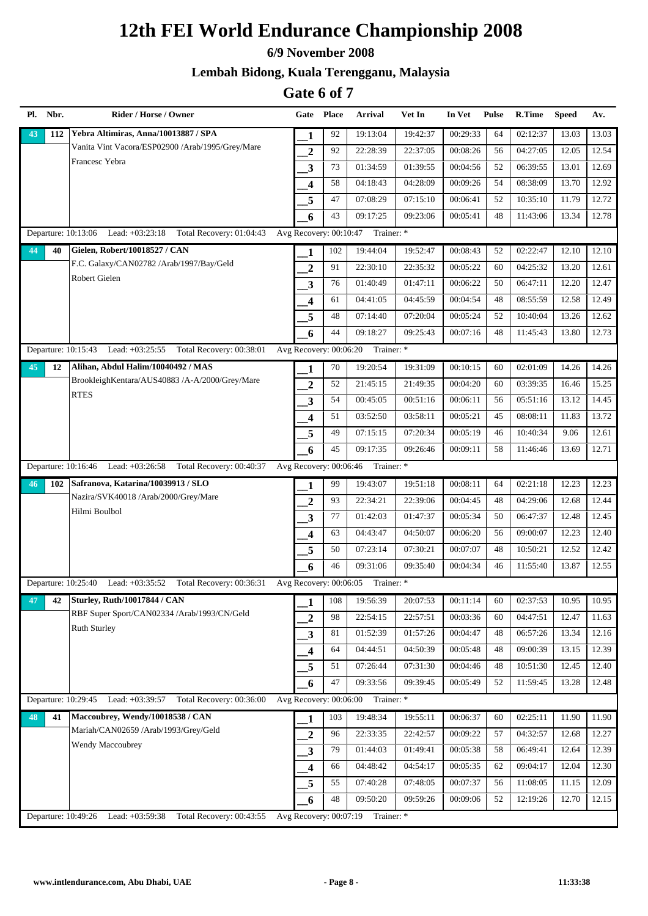#### **6/9 November 2008**

### **Lembah Bidong, Kuala Terengganu, Malaysia**

| Pl. | Nbr. | Rider / Horse / Owner                                              |                                     | Gate Place | <b>Arrival</b>                    | Vet In   | In Vet   | <b>Pulse</b> | R.Time   | <b>Speed</b> | Av.   |
|-----|------|--------------------------------------------------------------------|-------------------------------------|------------|-----------------------------------|----------|----------|--------------|----------|--------------|-------|
| 43  | 112  | Yebra Altimiras, Anna/10013887 / SPA                               | 1                                   | 92         | 19:13:04                          | 19:42:37 | 00:29:33 | 64           | 02:12:37 | 13.03        | 13.03 |
|     |      | Vanita Vint Vacora/ESP02900 /Arab/1995/Grey/Mare                   | $\overline{2}$                      | 92         | 22:28:39                          | 22:37:05 | 00:08:26 | 56           | 04:27:05 | 12.05        | 12.54 |
|     |      | Francesc Yebra                                                     | 3                                   | 73         | 01:34:59                          | 01:39:55 | 00:04:56 | 52           | 06:39:55 | 13.01        | 12.69 |
|     |      |                                                                    | 4                                   | 58         | 04:18:43                          | 04:28:09 | 00:09:26 | 54           | 08:38:09 | 13.70        | 12.92 |
|     |      |                                                                    | 5                                   | 47         | 07:08:29                          | 07:15:10 | 00:06:41 | 52           | 10:35:10 | 11.79        | 12.72 |
|     |      |                                                                    | 6                                   | 43         | 09:17:25                          | 09:23:06 | 00:05:41 | 48           | 11:43:06 | 13.34        | 12.78 |
|     |      | Departure: 10:13:06 Lead: +03:23:18 Total Recovery: 01:04:43       | Avg Recovery: $00:\overline{10:47}$ |            | Trainer: *                        |          |          |              |          |              |       |
| 44  | 40   | Gielen, Robert/10018527 / CAN                                      | 1                                   | 102        | 19:44:04                          | 19:52:47 | 00:08:43 | 52           | 02:22:47 | 12.10        | 12.10 |
|     |      | F.C. Galaxy/CAN02782 /Arab/1997/Bay/Geld                           | $\overline{2}$                      | 91         | 22:30:10                          | 22:35:32 | 00:05:22 | 60           | 04:25:32 | 13.20        | 12.61 |
|     |      | Robert Gielen                                                      | 3                                   | 76         | 01:40:49                          | 01:47:11 | 00:06:22 | 50           | 06:47:11 | 12.20        | 12.47 |
|     |      |                                                                    | 4                                   | 61         | 04:41:05                          | 04:45:59 | 00:04:54 | 48           | 08:55:59 | 12.58        | 12.49 |
|     |      |                                                                    | 5                                   | 48         | 07:14:40                          | 07:20:04 | 00:05:24 | 52           | 10:40:04 | 13.26        | 12.62 |
|     |      |                                                                    | 6                                   | 44         | 09:18:27                          | 09:25:43 | 00:07:16 | 48           | 11:45:43 | 13.80        | 12.73 |
|     |      | Departure: 10:15:43<br>Lead: +03:25:55 Total Recovery: 00:38:01    | Avg Recovery: 00:06:20              |            | Trainer: *                        |          |          |              |          |              |       |
| 45  | 12   | Alihan, Abdul Halim/10040492 / MAS                                 | 1                                   | 70         | 19:20:54                          | 19:31:09 | 00:10:15 | 60           | 02:01:09 | 14.26        | 14.26 |
|     |      | BrookleighKentara/AUS40883 /A-A/2000/Grey/Mare                     | $\overline{2}$                      | 52         | 21:45:15                          | 21:49:35 | 00:04:20 | 60           | 03:39:35 | 16.46        | 15.25 |
|     |      | <b>RTES</b>                                                        | $\mathbf{3}$                        | 54         | 00:45:05                          | 00:51:16 | 00:06:11 | 56           | 05:51:16 | 13.12        | 14.45 |
|     |      |                                                                    | 4                                   | 51         | 03:52:50                          | 03:58:11 | 00:05:21 | 45           | 08:08:11 | 11.83        | 13.72 |
|     |      |                                                                    | 5                                   | 49         | 07:15:15                          | 07:20:34 | 00:05:19 | 46           | 10:40:34 | 9.06         | 12.61 |
|     |      |                                                                    | 6                                   | 45         | 09:17:35                          | 09:26:46 | 00:09:11 | 58           | 11:46:46 | 13.69        | 12.71 |
|     |      | Departure: 10:16:46 Lead: +03:26:58 Total Recovery: 00:40:37       | Avg Recovery: 00:06:46              |            | Trainer: *                        |          |          |              |          |              |       |
| 46  | 102  | Safranova, Katarina/10039913 / SLO                                 | 1                                   | 99         | 19:43:07                          | 19:51:18 | 00:08:11 | 64           | 02:21:18 | 12.23        | 12.23 |
|     |      | Nazira/SVK40018 /Arab/2000/Grey/Mare                               | $\overline{2}$                      | 93         | 22:34:21                          | 22:39:06 | 00:04:45 | 48           | 04:29:06 | 12.68        | 12.44 |
|     |      | Hilmi Boulbol                                                      | 3                                   | 77         | 01:42:03                          | 01:47:37 | 00:05:34 | 50           | 06:47:37 | 12.48        | 12.45 |
|     |      |                                                                    | $\overline{\mathbf{4}}$             | 63         | 04:43:47                          | 04:50:07 | 00:06:20 | 56           | 09:00:07 | 12.23        | 12.40 |
|     |      |                                                                    | 5                                   | 50         | 07:23:14                          | 07:30:21 | 00:07:07 | 48           | 10:50:21 | 12.52        | 12.42 |
|     |      |                                                                    | 6                                   | 46         | 09:31:06                          | 09:35:40 | 00:04:34 | 46           | 11:55:40 | 13.87        | 12.55 |
|     |      | Departure: 10:25:40 Lead: +03:35:52 Total Recovery: 00:36:31       |                                     |            | Avg Recovery: 00:06:05 Trainer: * |          |          |              |          |              |       |
| 47  | 42   | <b>Sturley, Ruth/10017844 / CAN</b>                                | 1                                   | 108        | 19:56:39                          | 20:07:53 | 00:11:14 | 60           | 02:37:53 | 10.95        | 10.95 |
|     |      | RBF Super Sport/CAN02334 /Arab/1993/CN/Geld                        | $\overline{2}$                      | 98         | 22:54:15                          | 22:57:51 | 00:03:36 | 60           | 04:47:51 | 12.47        | 11.63 |
|     |      | <b>Ruth Sturley</b>                                                | 3                                   | 81         | 01:52:39                          | 01:57:26 | 00:04:47 | 48           | 06:57:26 | 13.34        | 12.16 |
|     |      |                                                                    | 4                                   | 64         | 04:44:51                          | 04:50:39 | 00:05:48 | 48           | 09:00:39 | 13.15        | 12.39 |
|     |      |                                                                    | 5                                   | 51         | 07:26:44                          | 07:31:30 | 00:04:46 | 48           | 10:51:30 | 12.45        | 12.40 |
|     |      |                                                                    | 6                                   | 47         | 09:33:56                          | 09:39:45 | 00:05:49 | 52           | 11:59:45 | 13.28        | 12.48 |
|     |      | Departure: 10:29:45 Lead: +03:39:57 Total Recovery: 00:36:00       |                                     |            | Avg Recovery: 00:06:00 Trainer: * |          |          |              |          |              |       |
| 48  | 41   | Maccoubrey, Wendy/10018538 / CAN                                   | 1                                   | 103        | 19:48:34                          | 19:55:11 | 00:06:37 | 60           | 02:25:11 | 11.90        | 11.90 |
|     |      | Mariah/CAN02659 /Arab/1993/Grey/Geld                               | $\overline{\mathbf{2}}$             | 96         | 22:33:35                          | 22:42:57 | 00:09:22 | 57           | 04:32:57 | 12.68        | 12.27 |
|     |      | Wendy Maccoubrey                                                   | 3                                   | 79         | 01:44:03                          | 01:49:41 | 00:05:38 | 58           | 06:49:41 | 12.64        | 12.39 |
|     |      |                                                                    | $\overline{\mathbf{4}}$             | 66         | 04:48:42                          | 04:54:17 | 00:05:35 | 62           | 09:04:17 | 12.04        | 12.30 |
|     |      |                                                                    | 5                                   | 55         | 07:40:28                          | 07:48:05 | 00:07:37 | 56           | 11:08:05 | 11.15        | 12.09 |
|     |      |                                                                    | 6                                   | 48         | 09:50:20                          | 09:59:26 | 00:09:06 | 52           | 12:19:26 | 12.70        | 12.15 |
|     |      | Departure: 10:49:26<br>Lead: +03:59:38<br>Total Recovery: 00:43:55 | Avg Recovery: 00:07:19              |            | Trainer: *                        |          |          |              |          |              |       |